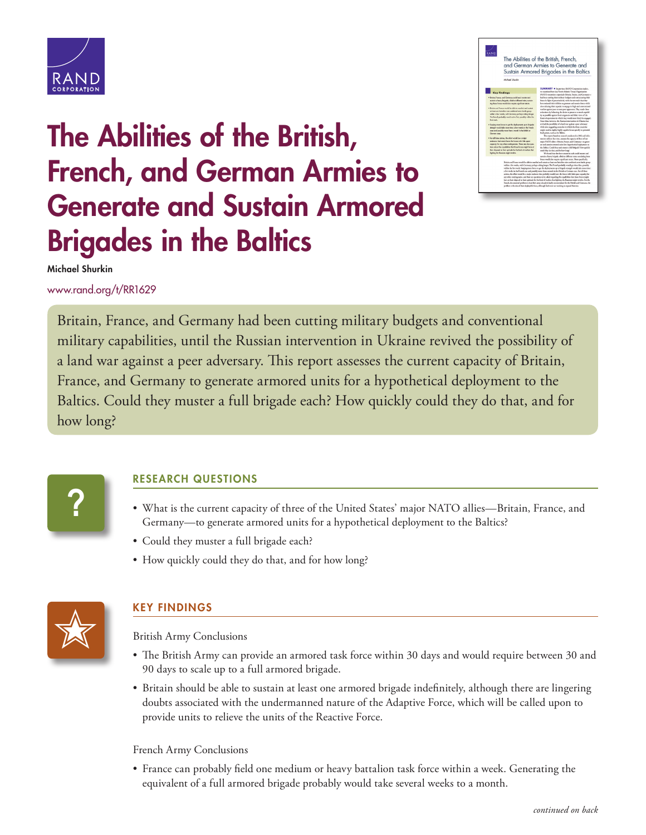

## **The Abilities of the British, French, and German Armies to Generate and Sustain Armored Brigades in the Baltics**



**Michael Shurkin**

[www.rand.org/t/RR1629](http://www.rand.org/t/RR1629)

Britain, France, and Germany had been cutting military budgets and conventional military capabilities, until the Russian intervention in Ukraine revived the possibility of a land war against a peer adversary. This report assesses the current capacity of Britain, France, and Germany to generate armored units for a hypothetical deployment to the Baltics. Could they muster a full brigade each? How quickly could they do that, and for how long?

**?**

## **RESEARCH QUESTIONS**

- What is the current capacity of three of the United States' major NATO allies—Britain, France, and Germany—to generate armored units for a hypothetical deployment to the Baltics?
- Could they muster a full brigade each?
- How quickly could they do that, and for how long?



## **KEY FINDINGS**

British Army Conclusions

- The British Army can provide an armored task force within 30 days and would require between 30 and 90 days to scale up to a full armored brigade.
- Britain should be able to sustain at least one armored brigade indefinitely, although there are lingering doubts associated with the undermanned nature of the Adaptive Force, which will be called upon to provide units to relieve the units of the Reactive Force.

French Army Conclusions

• France can probably field one medium or heavy battalion task force within a week. Generating the equivalent of a full armored brigade probably would take several weeks to a month.